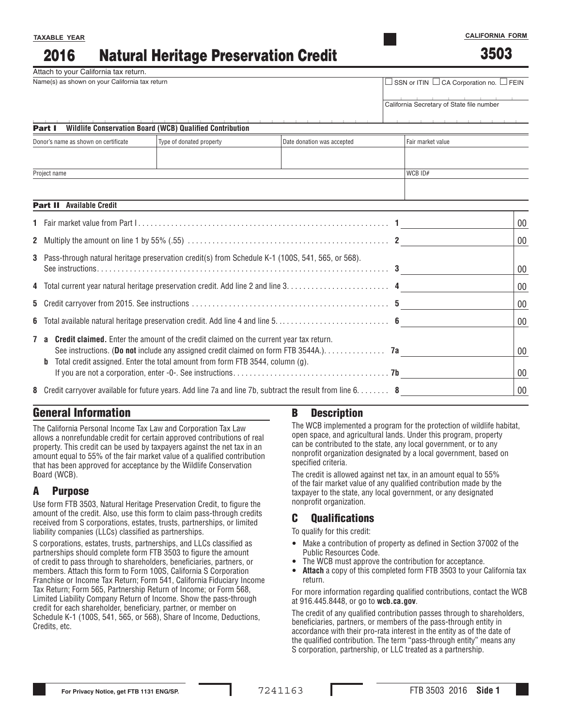#### Natural Heritage Preservation Credit 2016

Attach to your California tax return.

| Name(s) as shown on your California tax return | $\Box$ SSN or ITIN $\Box$ CA Corporation no. $\Box$ FEIN |  |  |  |  |
|------------------------------------------------|----------------------------------------------------------|--|--|--|--|
|                                                |                                                          |  |  |  |  |

### California Secretary of State file number

#### Part I **Wildlife Conservation Board (WCB) Qualified Contribution**

| Donor's name as shown on certificate | Type of donated property | Date donation was accepted | Fair market value |
|--------------------------------------|--------------------------|----------------------------|-------------------|
|                                      |                          |                            |                   |
|                                      |                          |                            |                   |
| Project name                         | WCBID#                   |                            |                   |
|                                      |                          |                            |                   |

#### Part II **Available Credit**

**TAXABLE YEAR**

|                                                                                                                                                                                                                                                                                  | 00           |
|----------------------------------------------------------------------------------------------------------------------------------------------------------------------------------------------------------------------------------------------------------------------------------|--------------|
|                                                                                                                                                                                                                                                                                  | $00\,$       |
| 3 Pass-through natural heritage preservation credit(s) from Schedule K-1 (100S, 541, 565, or 568).                                                                                                                                                                               | 00           |
|                                                                                                                                                                                                                                                                                  | 00           |
|                                                                                                                                                                                                                                                                                  | 00           |
|                                                                                                                                                                                                                                                                                  | 00           |
| <b>7 a Credit claimed.</b> Enter the amount of the credit claimed on the current year tax return.<br>See instructions. (Do not include any assigned credit claimed on form FTB 3544A.). 7a<br>Total credit assigned. Enter the total amount from form FTB 3544, column (g).<br>b | 00<br>$00\,$ |
| 8 Credit carryover available for future years. Add line 7a and line 7b, subtract the result from line $6, \ldots,$                                                                                                                                                               | 00           |

# General Information

The California Personal Income Tax Law and Corporation Tax Law allows a nonrefundable credit for certain approved contributions of real property. This credit can be used by taxpayers against the net tax in an amount equal to 55% of the fair market value of a qualified contribution that has been approved for acceptance by the Wildlife Conservation Board (WCB).

## A Purpose

Use form FTB 3503, Natural Heritage Preservation Credit, to figure the amount of the credit. Also, use this form to claim pass-through credits received from S corporations, estates, trusts, partnerships, or limited liability companies (LLCs) classified as partnerships.

S corporations, estates, trusts, partnerships, and LLCs classified as partnerships should complete form FTB 3503 to figure the amount of credit to pass through to shareholders, beneficiaries, partners, or members. Attach this form to Form 100S, California S Corporation Franchise or Income Tax Return; Form 541, California Fiduciary Income Tax Return; Form 565, Partnership Return of Income; or Form 568, Limited Liability Company Return of Income. Show the pass-through credit for each shareholder, beneficiary, partner, or member on Schedule K-1 (100S, 541, 565, or 568), Share of Income, Deductions, Credits, etc.

### B Description

The WCB implemented a program for the protection of wildlife habitat, open space, and agricultural lands. Under this program, property can be contributed to the state, any local government, or to any nonprofit organization designated by a local government, based on specified criteria.

The credit is allowed against net tax, in an amount equal to 55% of the fair market value of any qualified contribution made by the taxpayer to the state, any local government, or any designated nonprofit organization.

## C Qualifications

To qualify for this credit:

- Make a contribution of property as defined in Section 37002 of the Public Resources Code.
- The WCB must approve the contribution for acceptance.
- **Attach** a copy of this completed form FTB 3503 to your California tax return.

For more information regarding qualified contributions, contact the WCB at 916.445.8448, or go to **wcb.ca.gov**.

The credit of any qualified contribution passes through to shareholders, beneficiaries, partners, or members of the pass-through entity in accordance with their pro-rata interest in the entity as of the date of the qualified contribution. The term "pass-through entity" means any S corporation, partnership, or LLC treated as a partnership.